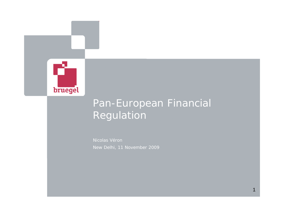

# Pan-European Financial Regulation

Nicolas Véron New Delhi, 11 November 2009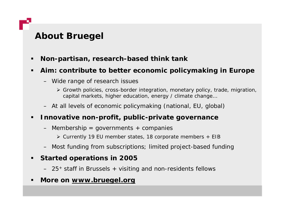# **About Bruegel**

- п **Non-partisan, research-based think tank**
- п • Aim: contribute to better economic policymaking in Europe
	- Wide range of research issues
		- ¾ Growth policies, cross-border integration, monetary policy, trade, migration, capital markets, higher education, energy / climate change...
	- At all levels of economic policymaking (national, EU, global)

### п **Innovative non-profit, public-private governance**

- Membership = governments + companies
	- ¾ Currently 19 EU member states, 18 corporate members + EIB
- Most funding from subscriptions; limited project-based funding

### $\blacksquare$ **Started operations in 2005**

- 25+ staff in Brussels + visiting and non-residents fellows
- ٠ **More on www bruegel org www.bruegel.org**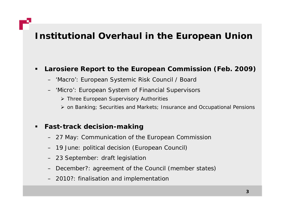# **Institutional Overhaul in the Euro pean Union**

### $\blacksquare$ **Larosiere Report to the European Commission ( (Feb. 2009)**

- 'Macro': European Systemic Risk Council / Board
- 'Micro': European System of Financial Supervisors
	- ¾ Three European Supervisory Authorities
	- ¾ on Banking; Securities and Markets; Insurance and Occupational Pensions

### $\blacksquare$ **Fast-track decision-making**

- 27 May: Communication of the European Commission
- 19 June: political decision (European Council)
- 23 September: draft legislation
- December?: agreement of the Council (member states)
- 2010?: finalisation and implementation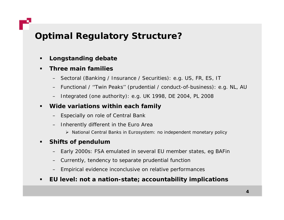## *Optimal Regulatory Structure?*

- $\blacksquare$ **Longstanding debate**
- $\blacksquare$  **Three main families**
	- Sectoral (Banking / Insurance / Securities): e.g. US, FR, ES, IT
	- Functional / ''Twin Peaks'' (prudential / conduct-of-business): e.g. NL, AU
	- Integrated (one authority): e.g. UK 1998, DE 2004, PL 2008
- $\blacksquare$  **Wide variations within each family**
	- Especially on role of Central Bank
	- Inherently different in the Euro Area
		- ¾ National Central Banks in Eurosystem: no independent monetary policy

#### $\blacksquare$ **Shifts of pendulum**

- Early 2000s: FSA emulated in several EU member states, eg BAFin
- Currently, tendency to separate prudential function
- Empirical evidence inconclusive on relative performances
- $\blacksquare$ **EU level: not a nation : nation-state; accountability implications**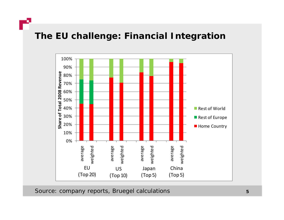



*Source: company reports, Bruegel calculations* **<sup>5</sup>**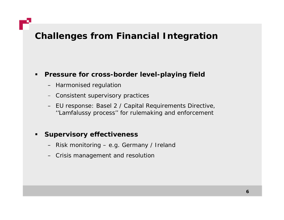## **Challenges from Financial Integration**

### $\blacksquare$ **Pressure for cross-border level-playing field**

- Harmonised regulation
- Consistent supervisory practices
- EU response: Basel 2 / Capital Requirements Directive, ''Lamfalussy process'' for rulemaking and enforcement

### $\blacksquare$ **Supervisory effectiveness**

- Risk monitoring e.g. Germany / Ireland
- Crisis management and resolution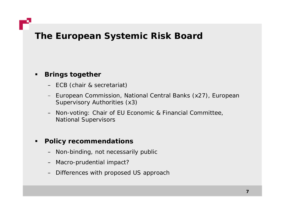### **The European Systemic Risk Board**

### $\blacksquare$ **Brings together**

- ECB (chair & secretariat)
- European Commission, National Central Banks (x27), European Supervisory Authorities (x3)
- Non-voting: Chair of EU Economic & Financial Committee, National Supervisors

#### $\blacksquare$ **Policy recommendations**

- Non-binding, not necessarily public
- Macro-prudential impact?
- Differences with proposed US approach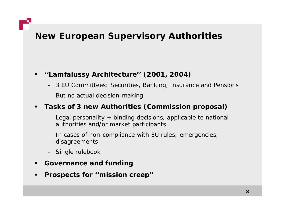## **New European Supervisory Authorities**

### **''Lamfalussy Architecture'' (2001, 2004)**

- 3 EU Committees: Securities, Banking, Insurance and Pensions
- But no actual decision-making

### **Tasks of 3 new Authorities (Commission proposal)**

- Legal personality + binding decisions, applicable to national authorities and/or market participants
- In cases of non-compliance with EU rules; emergencies; disagreements
- Single rulebook
- $\blacksquare$ **Governance and funding**
- $\blacksquare$ **Prospects for ''mission creep''**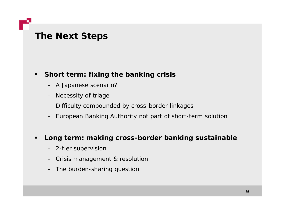## **The Next Steps**

### **Short term: fixing the banking crisis**

- A Japanese scenario?
- Necessity of triage
- Difficulty compounded by cross-border linkages
- European Banking Authority not part of short-term solution

### $\blacksquare$ **Long term: making cross-border banking sustainable**

- 2-tier supervision
- Crisis management & resolution
- The burden-sharing question